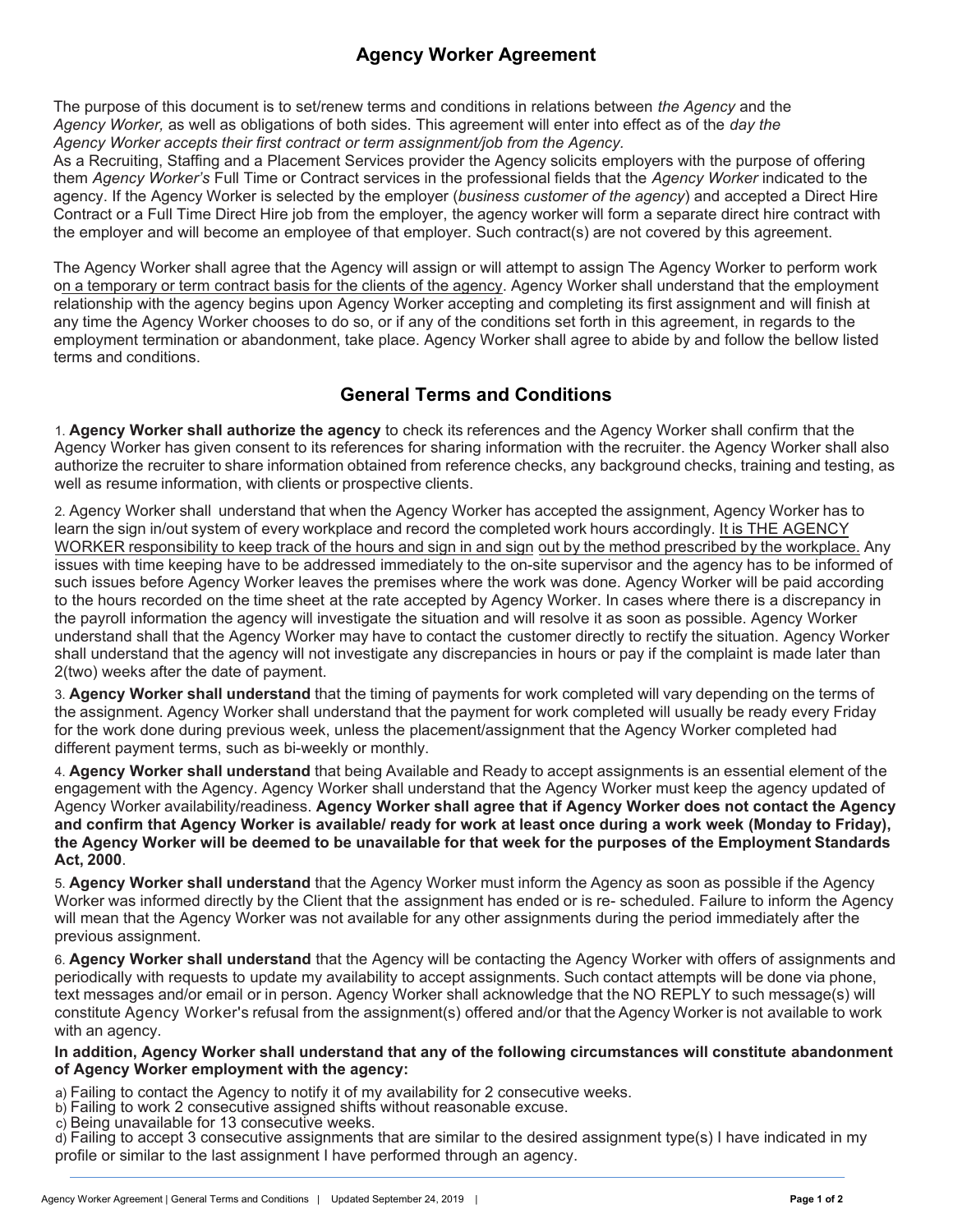## **Agency Worker Agreement**

The purpose of this document is to set/renew terms and conditions in relations between *the Agency* and the *Agency Worker,* as well as obligations of both sides. This agreement will enter into effect as of the *day the Agency Worker accepts their first contract or term assignment/job from the Agency.*

As a Recruiting, Staffing and a Placement Services provider the Agency solicits employers with the purpose of offering them *Agency Worker's* Full Time or Contract services in the professional fields that the *Agency Worker* indicated to the agency. If the Agency Worker is selected by the employer (*business customer of the agency*) and accepted a Direct Hire Contract or a Full Time Direct Hire job from the employer, the agency worker will form a separate direct hire contract with the employer and will become an employee of that employer. Such contract(s) are not covered by this agreement.

The Agency Worker shall agree that the Agency will assign or will attempt to assign The Agency Worker to perform work on a temporary or term contract basis for the clients of the agency. Agency Worker shall understand that the employment relationship with the agency begins upon Agency Worker accepting and completing its first assignment and will finish at any time the Agency Worker chooses to do so, or if any of the conditions set forth in this agreement, in regards to the employment termination or abandonment, take place. Agency Worker shall agree to abide by and follow the bellow listed terms and conditions.

## **General Terms and Conditions**

1. **Agency Worker shall authorize the agency** to check its references and the Agency Worker shall confirm that the Agency Worker has given consent to its references for sharing information with the recruiter. the Agency Worker shall also authorize the recruiter to share information obtained from reference checks, any background checks, training and testing, as well as resume information, with clients or prospective clients.

2. Agency Worker shall understand that when the Agency Worker has accepted the assignment, Agency Worker has to learn the sign in/out system of every workplace and record the completed work hours accordingly. It is THE AGENCY WORKER responsibility to keep track of the hours and sign in and sign out by the method prescribed by the workplace. Any issues with time keeping have to be addressed immediately to the on-site supervisor and the agency has to be informed of such issues before Agency Worker leaves the premises where the work was done. Agency Worker will be paid according to the hours recorded on the time sheet at the rate accepted by Agency Worker. In cases where there is a discrepancy in the payroll information the agency will investigate the situation and will resolve it as soon as possible. Agency Worker understand shall that the Agency Worker may have to contact the customer directly to rectify the situation. Agency Worker shall understand that the agency will not investigate any discrepancies in hours or pay if the complaint is made later than 2(two) weeks after the date of payment.

3. **Agency Worker shall understand** that the timing of payments for work completed will vary depending on the terms of the assignment. Agency Worker shall understand that the payment for work completed will usually be ready every Friday for the work done during previous week, unless the placement/assignment that the Agency Worker completed had different payment terms, such as bi-weekly or monthly.

4. **Agency Worker shall understand** that being Available and Ready to accept assignments is an essential element of the engagement with the Agency. Agency Worker shall understand that the Agency Worker must keep the agency updated of Agency Worker availability/readiness. **Agency Worker shall agree that if Agency Worker does not contact the Agency and confirm that Agency Worker is available/ ready for work at least once during a work week (Monday to Friday), the Agency Worker will be deemed to be unavailable for that week for the purposes of the Employment Standards Act, 2000**.

5. **Agency Worker shall understand** that the Agency Worker must inform the Agency as soon as possible if the Agency Worker was informed directly by the Client that the assignment has ended or is re- scheduled. Failure to inform the Agency will mean that the Agency Worker was not available for any other assignments during the period immediately after the previous assignment.

6. **Agency Worker shall understand** that the Agency will be contacting the Agency Worker with offers of assignments and periodically with requests to update my availability to accept assignments. Such contact attempts will be done via phone, text messages and/or email or in person. Agency Worker shall acknowledge that the NO REPLY to such message(s) will constitute Agency Worker's refusal from the assignment(s) offered and/or that the Agency Worker is not available to work with an agency.

**In addition, Agency Worker shall understand that any of the following circumstances will constitute abandonment of Agency Worker employment with the agency:**

a) Failing to contact the Agency to notify it of my availability for 2 consecutive weeks.

b) Failing to work 2 consecutive assigned shifts without reasonable excuse.

c) Being unavailable for 13 consecutive weeks.

d) Failing to accept 3 consecutive assignments that are similar to the desired assignment type(s) I have indicated in my profile or similar to the last assignment I have performed through an agency.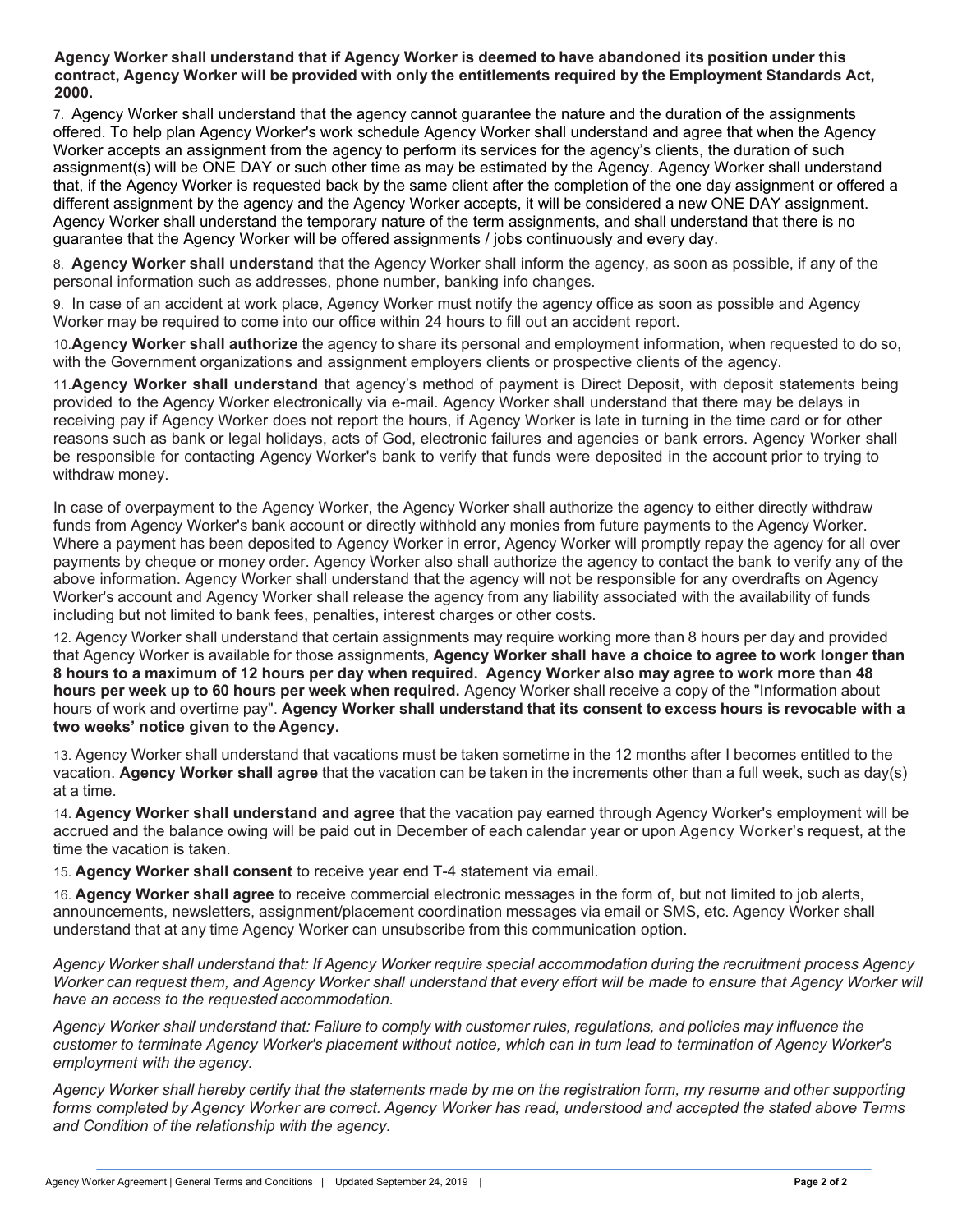**Agency Worker shall understand that if Agency Worker is deemed to have abandoned its position under this contract, Agency Worker will be provided with only the entitlements required by the Employment Standards Act, 2000.**

7. Agency Worker shall understand that the agency cannot guarantee the nature and the duration of the assignments offered. To help plan Agency Worker's work schedule Agency Worker shall understand and agree that when the Agency Worker accepts an assignment from the agency to perform its services for the agency's clients, the duration of such assignment(s) will be ONE DAY or such other time as may be estimated by the Agency. Agency Worker shall understand that, if the Agency Worker is requested back by the same client after the completion of the one day assignment or offered a different assignment by the agency and the Agency Worker accepts, it will be considered a new ONE DAY assignment. Agency Worker shall understand the temporary nature of the term assignments, and shall understand that there is no guarantee that the Agency Worker will be offered assignments / jobs continuously and every day.

8. **Agency Worker shall understand** that the Agency Worker shall inform the agency, as soon as possible, if any of the personal information such as addresses, phone number, banking info changes.

9. In case of an accident at work place, Agency Worker must notify the agency office as soon as possible and Agency Worker may be required to come into our office within 24 hours to fill out an accident report.

10.**Agency Worker shall authorize** the agency to share its personal and employment information, when requested to do so, with the Government organizations and assignment employers clients or prospective clients of the agency.

11.**Agency Worker shall understand** that agency's method of payment is Direct Deposit, with deposit statements being provided to the Agency Worker electronically via e-mail. Agency Worker shall understand that there may be delays in receiving pay if Agency Worker does not report the hours, if Agency Worker is late in turning in the time card or for other reasons such as bank or legal holidays, acts of God, electronic failures and agencies or bank errors. Agency Worker shall be responsible for contacting Agency Worker's bank to verify that funds were deposited in the account prior to trying to withdraw money.

In case of overpayment to the Agency Worker, the Agency Worker shall authorize the agency to either directly withdraw funds from Agency Worker's bank account or directly withhold any monies from future payments to the Agency Worker. Where a payment has been deposited to Agency Worker in error, Agency Worker will promptly repay the agency for all over payments by cheque or money order. Agency Worker also shall authorize the agency to contact the bank to verify any of the above information. Agency Worker shall understand that the agency will not be responsible for any overdrafts on Agency Worker's account and Agency Worker shall release the agency from any liability associated with the availability of funds including but not limited to bank fees, penalties, interest charges or other costs.

12. Agency Worker shall understand that certain assignments may require working more than 8 hours per day and provided that Agency Worker is available for those assignments, **Agency Worker shall have a choice to agree to work longer than 8 hours to a maximum of 12 hours per day when required. Agency Worker also may agree to work more than 48 hours per week up to 60 hours per week when required.** Agency Worker shall receive a copy of the "Information about hours of work and overtime pay". **Agency Worker shall understand that its consent to excess hours is revocable with a two weeks' notice given to the Agency.**

13. Agency Worker shall understand that vacations must be taken sometime in the 12 months after I becomes entitled to the vacation. **Agency Worker shall agree** that the vacation can be taken in the increments other than a full week, such as day(s) at a time.

14. **Agency Worker shall understand and agree** that the vacation pay earned through Agency Worker's employment will be accrued and the balance owing will be paid out in December of each calendar year or upon Agency Worker's request, at the time the vacation is taken.

15. **Agency Worker shall consent** to receive year end T-4 statement via email.

16. **Agency Worker shall agree** to receive commercial electronic messages in the form of, but not limited to job alerts, announcements, newsletters, assignment/placement coordination messages via email or SMS, etc. Agency Worker shall understand that at any time Agency Worker can unsubscribe from this communication option.

*Agency Worker shall understand that: If Agency Worker require special accommodation during the recruitment process Agency Worker can request them, and Agency Worker shall understand that every effort will be made to ensure that Agency Worker will have an access to the requested accommodation.*

*Agency Worker shall understand that: Failure to comply with customer rules, regulations, and policies may influence the customer to terminate Agency Worker's placement without notice, which can in turn lead to termination of Agency Worker's employment with the agency.*

*Agency Worker shall hereby certify that the statements made by me on the registration form, my resume and other supporting forms completed by Agency Worker are correct. Agency Worker has read, understood and accepted the stated above Terms and Condition of the relationship with the agency.*